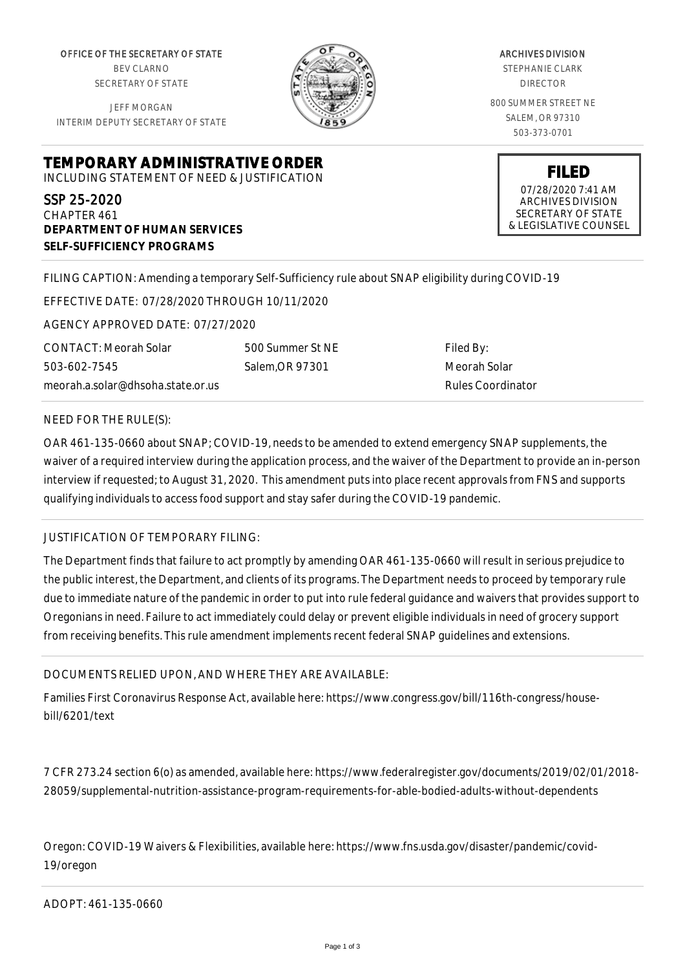OFFICE OF THE SECRETARY OF STATE BEV CLARNO SECRETARY OF STATE

JEFF MORGAN INTERIM DEPUTY SECRETARY OF STATE

ARCHIVES DIVISION STEPHANIE CLARK DIRECTOR 800 SUMMER STREET NE SALEM, OR 97310 503-373-0701

> **FILED** 07/28/2020 7:41 AM ARCHIVES DIVISION SECRETARY OF STATE & LEGISLATIVE COUNSEL

**TEMPORARY ADMINISTRATIVE ORDER** INCLUDING STATEMENT OF NEED & JUSTIFICATION

SSP 25-2020 CHAPTER 461 **DEPARTMENT OF HUMAN SERVICES SELF-SUFFICIENCY PROGRAMS**

FILING CAPTION: Amending a temporary Self-Sufficiency rule about SNAP eligibility during COVID-19

EFFECTIVE DATE: 07/28/2020 THROUGH 10/11/2020

AGENCY APPROVED DATE: 07/27/2020

CONTACT: Meorah Solar 503-602-7545 meorah.a.solar@dhsoha.state.or.us 500 Summer St NE Salem,OR 97301

Filed By: Meorah Solar Rules Coordinator

## NEED FOR THE RULE(S):

OAR 461-135-0660 about SNAP; COVID-19, needs to be amended to extend emergency SNAP supplements, the waiver of a required interview during the application process, and the waiver of the Department to provide an in-person interview if requested; to August 31, 2020. This amendment puts into place recent approvals from FNS and supports qualifying individuals to access food support and stay safer during the COVID-19 pandemic.

## JUSTIFICATION OF TEMPORARY FILING:

The Department finds that failure to act promptly by amending OAR 461-135-0660 will result in serious prejudice to the public interest, the Department, and clients of its programs. The Department needs to proceed by temporary rule due to immediate nature of the pandemic in order to put into rule federal guidance and waivers that provides support to Oregonians in need. Failure to act immediately could delay or prevent eligible individuals in need of grocery support from receiving benefits. This rule amendment implements recent federal SNAP guidelines and extensions.

## DOCUMENTS RELIED UPON, AND WHERE THEY ARE AVAILABLE:

Families First Coronavirus Response Act, available here: https://www.congress.gov/bill/116th-congress/housebill/6201/text

7 CFR 273.24 section 6(o) as amended, available here: https://www.federalregister.gov/documents/2019/02/01/2018- 28059/supplemental-nutrition-assistance-program-requirements-for-able-bodied-adults-without-dependents

Oregon: COVID-19 Waivers & Flexibilities, available here: https://www.fns.usda.gov/disaster/pandemic/covid-19/oregon